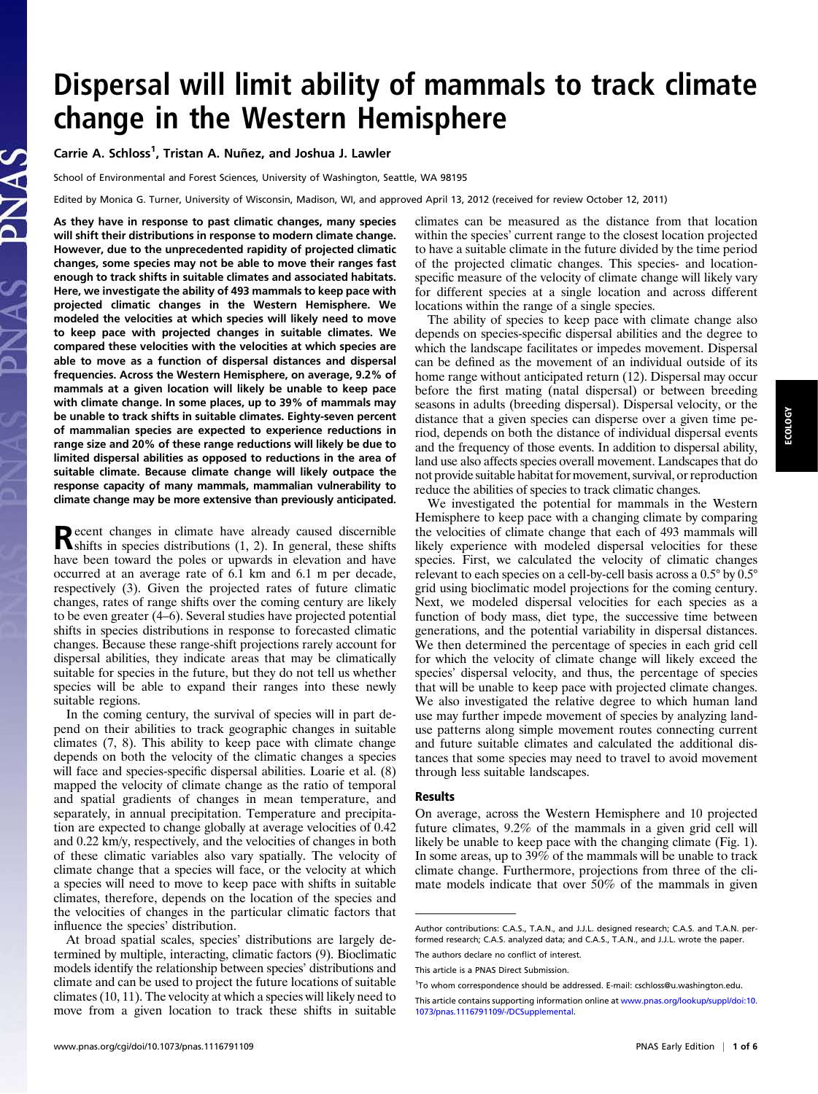# Dispersal will limit ability of mammals to track climate

Carrie A. Schloss<sup>1</sup>, Tristan A. Nuñez, and Joshua J. Lawler

School of Environmental and Forest Sciences, University of Washington, Seattle, WA 98195

Edited by Monica G. Turner, University of Wisconsin, Madison, WI, and approved April 13, 2012 (received for review October 12, 2011)

As they have in response to past climatic changes, many species will shift their distributions in response to modern climate change. However, due to the unprecedented rapidity of projected climatic changes, some species may not be able to move their ranges fast enough to track shifts in suitable climates and associated habitats. Here, we investigate the ability of 493 mammals to keep pace with projected climatic changes in the Western Hemisphere. We modeled the velocities at which species will likely need to move to keep pace with projected changes in suitable climates. We compared these velocities with the velocities at which species are able to move as a function of dispersal distances and dispersal frequencies. Across the Western Hemisphere, on average, 9.2% of mammals at a given location will likely be unable to keep pace with climate change. In some places, up to 39% of mammals may be unable to track shifts in suitable climates. Eighty-seven percent of mammalian species are expected to experience reductions in range size and 20% of these range reductions will likely be due to limited dispersal abilities as opposed to reductions in the area of suitable climate. Because climate change will likely outpace the response capacity of many mammals, mammalian vulnerability to climate change may be more extensive than previously anticipated.

Recent changes in climate have already caused discernible<br>Shifts in species distributions (1, 2). In general, these shifts have been toward the poles or upwards in elevation and have occurred at an average rate of 6.1 km and 6.1 m per decade, respectively (3). Given the projected rates of future climatic changes, rates of range shifts over the coming century are likely to be even greater (4–6). Several studies have projected potential shifts in species distributions in response to forecasted climatic changes. Because these range-shift projections rarely account for dispersal abilities, they indicate areas that may be climatically suitable for species in the future, but they do not tell us whether species will be able to expand their ranges into these newly suitable regions.

In the coming century, the survival of species will in part depend on their abilities to track geographic changes in suitable climates (7, 8). This ability to keep pace with climate change depends on both the velocity of the climatic changes a species will face and species-specific dispersal abilities. Loarie et al.  $(8)$ mapped the velocity of climate change as the ratio of temporal and spatial gradients of changes in mean temperature, and separately, in annual precipitation. Temperature and precipitation are expected to change globally at average velocities of 0.42 and 0.22 km/y, respectively, and the velocities of changes in both of these climatic variables also vary spatially. The velocity of climate change that a species will face, or the velocity at which a species will need to move to keep pace with shifts in suitable climates, therefore, depends on the location of the species and the velocities of changes in the particular climatic factors that influence the species' distribution.

At broad spatial scales, species' distributions are largely determined by multiple, interacting, climatic factors (9). Bioclimatic models identify the relationship between species' distributions and climate and can be used to project the future locations of suitable climates (10, 11). The velocity at which a species will likely need to move from a given location to track these shifts in suitable climates can be measured as the distance from that location within the species' current range to the closest location projected to have a suitable climate in the future divided by the time period of the projected climatic changes. This species- and locationspecific measure of the velocity of climate change will likely vary for different species at a single location and across different locations within the range of a single species.

The ability of species to keep pace with climate change also depends on species-specific dispersal abilities and the degree to which the landscape facilitates or impedes movement. Dispersal can be defined as the movement of an individual outside of its home range without anticipated return (12). Dispersal may occur before the first mating (natal dispersal) or between breeding seasons in adults (breeding dispersal). Dispersal velocity, or the distance that a given species can disperse over a given time period, depends on both the distance of individual dispersal events and the frequency of those events. In addition to dispersal ability, land use also affects species overall movement. Landscapes that do not provide suitable habitat for movement, survival, or reproduction reduce the abilities of species to track climatic changes.

We investigated the potential for mammals in the Western Hemisphere to keep pace with a changing climate by comparing the velocities of climate change that each of 493 mammals will likely experience with modeled dispersal velocities for these species. First, we calculated the velocity of climatic changes relevant to each species on a cell-by-cell basis across a 0.5° by 0.5° grid using bioclimatic model projections for the coming century. Next, we modeled dispersal velocities for each species as a function of body mass, diet type, the successive time between generations, and the potential variability in dispersal distances. We then determined the percentage of species in each grid cell for which the velocity of climate change will likely exceed the species' dispersal velocity, and thus, the percentage of species that will be unable to keep pace with projected climate changes. We also investigated the relative degree to which human land use may further impede movement of species by analyzing landuse patterns along simple movement routes connecting current and future suitable climates and calculated the additional distances that some species may need to travel to avoid movement through less suitable landscapes.

### Results

On average, across the Western Hemisphere and 10 projected future climates, 9.2% of the mammals in a given grid cell will likely be unable to keep pace with the changing climate (Fig. 1). In some areas, up to 39% of the mammals will be unable to track climate change. Furthermore, projections from three of the climate models indicate that over 50% of the mammals in given

Author contributions: C.A.S., T.A.N., and J.J.L. designed research; C.A.S. and T.A.N. performed research; C.A.S. analyzed data; and C.A.S., T.A.N., and J.J.L. wrote the paper. The authors declare no conflict of interest.

This article is a PNAS Direct Submission.

<sup>&</sup>lt;sup>1</sup>To whom correspondence should be addressed. E-mail: [cschloss@u.washington.edu.](mailto:cschloss@u.washington.edu)

This article contains supporting information online at [www.pnas.org/lookup/suppl/doi:10.](http://www.pnas.org/lookup/suppl/doi:10.1073/pnas.1116791109/-/DCSupplemental) [1073/pnas.1116791109/-/DCSupplemental](http://www.pnas.org/lookup/suppl/doi:10.1073/pnas.1116791109/-/DCSupplemental).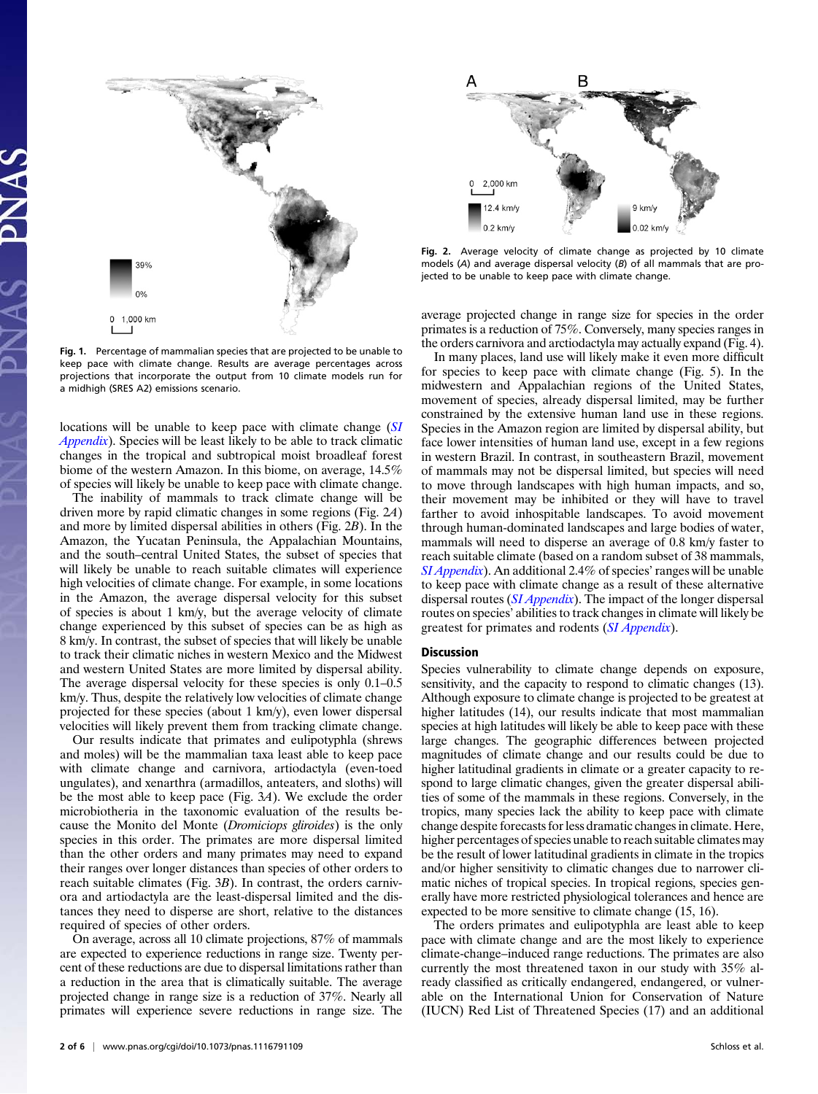

Fig. 1. Percentage of mammalian species that are projected to be unable to keep pace with climate change. Results are average percentages across projections that incorporate the output from 10 climate models run for a midhigh (SRES A2) emissions scenario.

locations will be unable to keep pace with climate change ([SI](http://www.pnas.org/lookup/suppl/doi:10.1073/pnas.1116791109/-/DCSupplemental/sapp.pdf) [Appendix](http://www.pnas.org/lookup/suppl/doi:10.1073/pnas.1116791109/-/DCSupplemental/sapp.pdf)). Species will be least likely to be able to track climatic changes in the tropical and subtropical moist broadleaf forest biome of the western Amazon. In this biome, on average, 14.5% of species will likely be unable to keep pace with climate change.

The inability of mammals to track climate change will be driven more by rapid climatic changes in some regions (Fig. 2A) and more by limited dispersal abilities in others (Fig. 2B). In the Amazon, the Yucatan Peninsula, the Appalachian Mountains, and the south–central United States, the subset of species that will likely be unable to reach suitable climates will experience high velocities of climate change. For example, in some locations in the Amazon, the average dispersal velocity for this subset of species is about 1 km/y, but the average velocity of climate change experienced by this subset of species can be as high as 8 km/y. In contrast, the subset of species that will likely be unable to track their climatic niches in western Mexico and the Midwest and western United States are more limited by dispersal ability. The average dispersal velocity for these species is only 0.1–0.5 km/y. Thus, despite the relatively low velocities of climate change projected for these species (about 1 km/y), even lower dispersal velocities will likely prevent them from tracking climate change.

Our results indicate that primates and eulipotyphla (shrews and moles) will be the mammalian taxa least able to keep pace with climate change and carnivora, artiodactyla (even-toed ungulates), and xenarthra (armadillos, anteaters, and sloths) will be the most able to keep pace (Fig. 3A). We exclude the order microbiotheria in the taxonomic evaluation of the results because the Monito del Monte (Dromiciops gliroides) is the only species in this order. The primates are more dispersal limited than the other orders and many primates may need to expand their ranges over longer distances than species of other orders to reach suitable climates (Fig. 3B). In contrast, the orders carnivora and artiodactyla are the least-dispersal limited and the distances they need to disperse are short, relative to the distances required of species of other orders.

On average, across all 10 climate projections, 87% of mammals are expected to experience reductions in range size. Twenty percent of these reductions are due to dispersal limitations rather than a reduction in the area that is climatically suitable. The average projected change in range size is a reduction of 37%. Nearly all primates will experience severe reductions in range size. The



Fig. 2. Average velocity of climate change as projected by 10 climate models (A) and average dispersal velocity (B) of all mammals that are projected to be unable to keep pace with climate change.

average projected change in range size for species in the order primates is a reduction of 75%. Conversely, many species ranges in the orders carnivora and arctiodactyla may actually expand (Fig. 4).

In many places, land use will likely make it even more difficult for species to keep pace with climate change (Fig. 5). In the midwestern and Appalachian regions of the United States, movement of species, already dispersal limited, may be further constrained by the extensive human land use in these regions. Species in the Amazon region are limited by dispersal ability, but face lower intensities of human land use, except in a few regions in western Brazil. In contrast, in southeastern Brazil, movement of mammals may not be dispersal limited, but species will need to move through landscapes with high human impacts, and so, their movement may be inhibited or they will have to travel farther to avoid inhospitable landscapes. To avoid movement through human-dominated landscapes and large bodies of water, mammals will need to disperse an average of 0.8 km/y faster to reach suitable climate (based on a random subset of 38 mammals, [SI Appendix](http://www.pnas.org/lookup/suppl/doi:10.1073/pnas.1116791109/-/DCSupplemental/sapp.pdf)). An additional 2.4% of species' ranges will be unable to keep pace with climate change as a result of these alternative dispersal routes (*[SI Appendix](http://www.pnas.org/lookup/suppl/doi:10.1073/pnas.1116791109/-/DCSupplemental/sapp.pdf)*). The impact of the longer dispersal routes on species' abilities to track changes in climate will likely be greatest for primates and rodents ([SI Appendix](http://www.pnas.org/lookup/suppl/doi:10.1073/pnas.1116791109/-/DCSupplemental/sapp.pdf)).

## Discussion

Species vulnerability to climate change depends on exposure, sensitivity, and the capacity to respond to climatic changes (13). Although exposure to climate change is projected to be greatest at higher latitudes (14), our results indicate that most mammalian species at high latitudes will likely be able to keep pace with these large changes. The geographic differences between projected magnitudes of climate change and our results could be due to higher latitudinal gradients in climate or a greater capacity to respond to large climatic changes, given the greater dispersal abilities of some of the mammals in these regions. Conversely, in the tropics, many species lack the ability to keep pace with climate change despite forecasts for less dramatic changes in climate. Here, higher percentages of species unable to reach suitable climates may be the result of lower latitudinal gradients in climate in the tropics and/or higher sensitivity to climatic changes due to narrower climatic niches of tropical species. In tropical regions, species generally have more restricted physiological tolerances and hence are expected to be more sensitive to climate change (15, 16).

The orders primates and eulipotyphla are least able to keep pace with climate change and are the most likely to experience climate-change–induced range reductions. The primates are also currently the most threatened taxon in our study with 35% already classified as critically endangered, endangered, or vulnerable on the International Union for Conservation of Nature (IUCN) Red List of Threatened Species (17) and an additional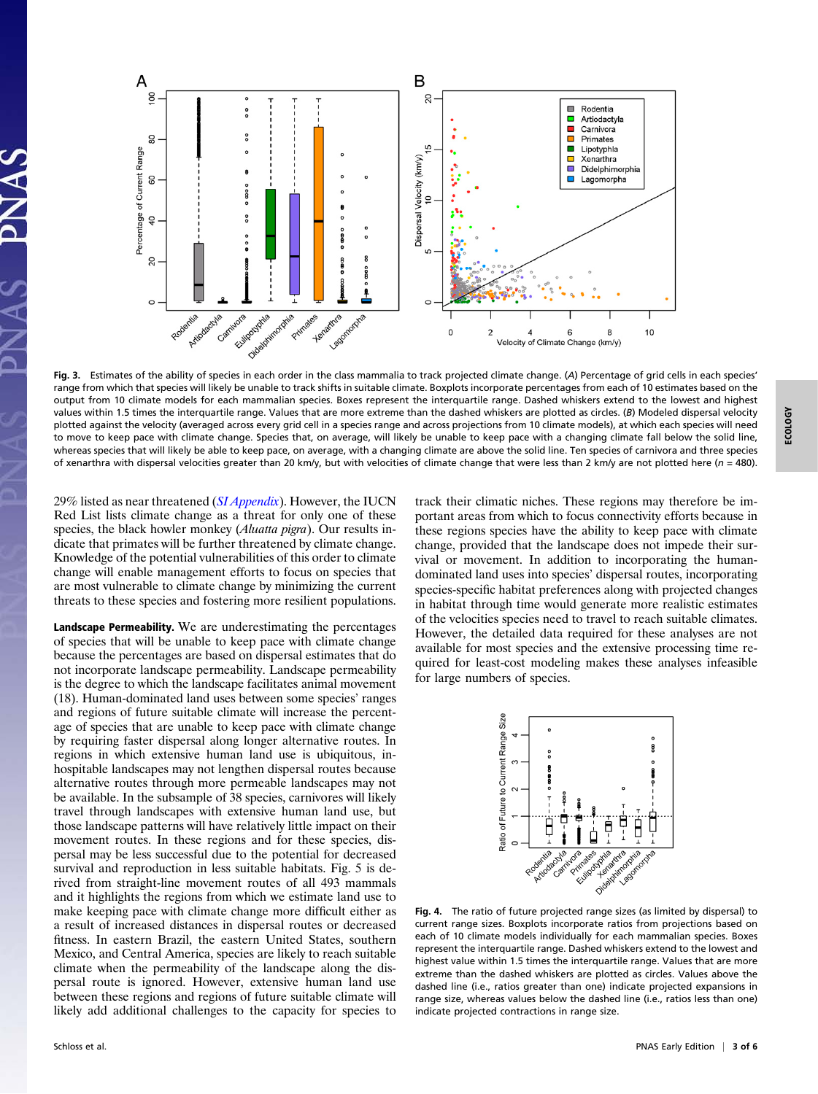

Fig. 3. Estimates of the ability of species in each order in the class mammalia to track projected climate change. (A) Percentage of grid cells in each species' range from which that species will likely be unable to track shifts in suitable climate. Boxplots incorporate percentages from each of 10 estimates based on the output from 10 climate models for each mammalian species. Boxes represent the interquartile range. Dashed whiskers extend to the lowest and highest values within 1.5 times the interquartile range. Values that are more extreme than the dashed whiskers are plotted as circles. (B) Modeled dispersal velocity plotted against the velocity (averaged across every grid cell in a species range and across projections from 10 climate models), at which each species will need to move to keep pace with climate change. Species that, on average, will likely be unable to keep pace with a changing climate fall below the solid line, whereas species that will likely be able to keep pace, on average, with a changing climate are above the solid line. Ten species of carnivora and three species of xenarthra with dispersal velocities greater than 20 km/y, but with velocities of climate change that were less than 2 km/y are not plotted here ( $n = 480$ ).

29% listed as near threatened  $(SI\text{ Appendix})$ . However, the IUCN Red List lists climate change as a threat for only one of these species, the black howler monkey (*Aluatta pigra*). Our results indicate that primates will be further threatened by climate change. Knowledge of the potential vulnerabilities of this order to climate change will enable management efforts to focus on species that are most vulnerable to climate change by minimizing the current threats to these species and fostering more resilient populations.

Landscape Permeability. We are underestimating the percentages of species that will be unable to keep pace with climate change because the percentages are based on dispersal estimates that do not incorporate landscape permeability. Landscape permeability is the degree to which the landscape facilitates animal movement (18). Human-dominated land uses between some species' ranges and regions of future suitable climate will increase the percentage of species that are unable to keep pace with climate change by requiring faster dispersal along longer alternative routes. In regions in which extensive human land use is ubiquitous, inhospitable landscapes may not lengthen dispersal routes because alternative routes through more permeable landscapes may not be available. In the subsample of 38 species, carnivores will likely travel through landscapes with extensive human land use, but those landscape patterns will have relatively little impact on their movement routes. In these regions and for these species, dispersal may be less successful due to the potential for decreased survival and reproduction in less suitable habitats. Fig. 5 is derived from straight-line movement routes of all 493 mammals and it highlights the regions from which we estimate land use to make keeping pace with climate change more difficult either as a result of increased distances in dispersal routes or decreased fitness. In eastern Brazil, the eastern United States, southern Mexico, and Central America, species are likely to reach suitable climate when the permeability of the landscape along the dispersal route is ignored. However, extensive human land use between these regions and regions of future suitable climate will likely add additional challenges to the capacity for species to track their climatic niches. These regions may therefore be important areas from which to focus connectivity efforts because in these regions species have the ability to keep pace with climate change, provided that the landscape does not impede their survival or movement. In addition to incorporating the humandominated land uses into species' dispersal routes, incorporating species-specific habitat preferences along with projected changes in habitat through time would generate more realistic estimates of the velocities species need to travel to reach suitable climates. However, the detailed data required for these analyses are not available for most species and the extensive processing time required for least-cost modeling makes these analyses infeasible for large numbers of species.



Fig. 4. The ratio of future projected range sizes (as limited by dispersal) to current range sizes. Boxplots incorporate ratios from projections based on each of 10 climate models individually for each mammalian species. Boxes represent the interquartile range. Dashed whiskers extend to the lowest and highest value within 1.5 times the interquartile range. Values that are more extreme than the dashed whiskers are plotted as circles. Values above the dashed line (i.e., ratios greater than one) indicate projected expansions in range size, whereas values below the dashed line (i.e., ratios less than one) indicate projected contractions in range size.

ECOLOGY

ECOLOGY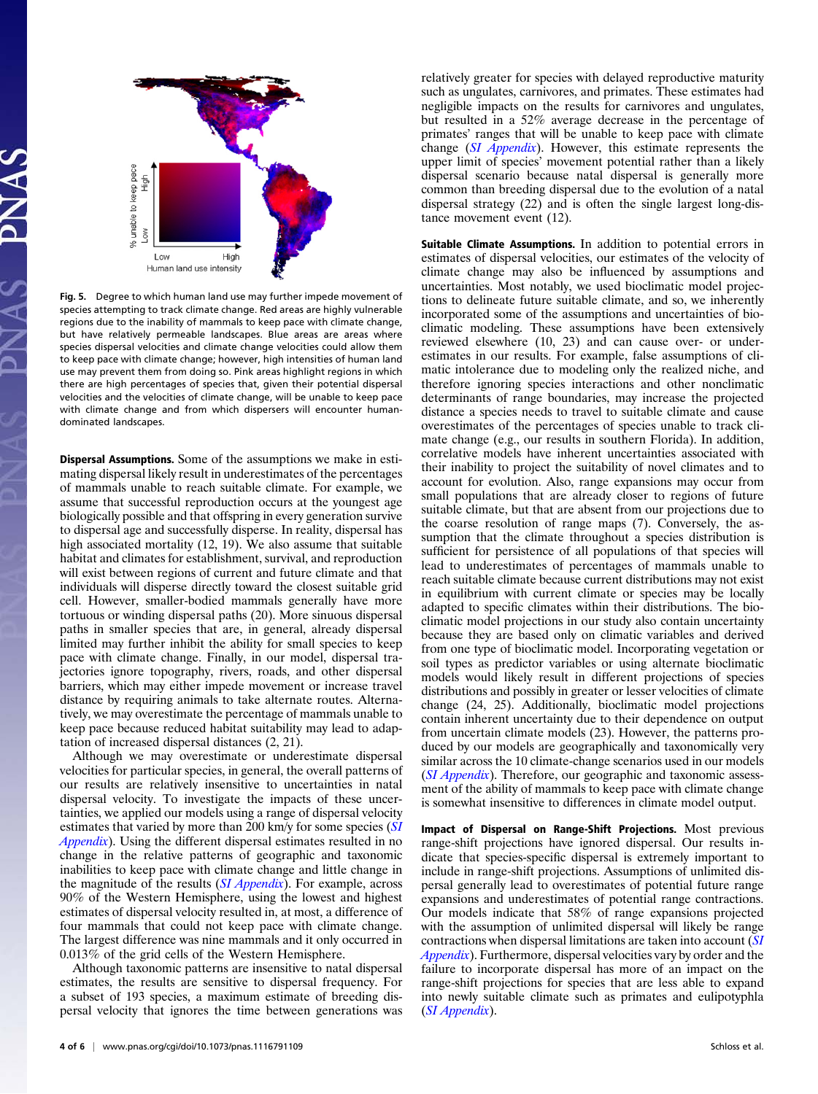

Fig. 5. Degree to which human land use may further impede movement of species attempting to track climate change. Red areas are highly vulnerable regions due to the inability of mammals to keep pace with climate change, but have relatively permeable landscapes. Blue areas are areas where species dispersal velocities and climate change velocities could allow them to keep pace with climate change; however, high intensities of human land use may prevent them from doing so. Pink areas highlight regions in which there are high percentages of species that, given their potential dispersal velocities and the velocities of climate change, will be unable to keep pace with climate change and from which dispersers will encounter humandominated landscapes.

Dispersal Assumptions. Some of the assumptions we make in estimating dispersal likely result in underestimates of the percentages of mammals unable to reach suitable climate. For example, we assume that successful reproduction occurs at the youngest age biologically possible and that offspring in every generation survive to dispersal age and successfully disperse. In reality, dispersal has high associated mortality (12, 19). We also assume that suitable habitat and climates for establishment, survival, and reproduction will exist between regions of current and future climate and that individuals will disperse directly toward the closest suitable grid cell. However, smaller-bodied mammals generally have more tortuous or winding dispersal paths (20). More sinuous dispersal paths in smaller species that are, in general, already dispersal limited may further inhibit the ability for small species to keep pace with climate change. Finally, in our model, dispersal trajectories ignore topography, rivers, roads, and other dispersal barriers, which may either impede movement or increase travel distance by requiring animals to take alternate routes. Alternatively, we may overestimate the percentage of mammals unable to keep pace because reduced habitat suitability may lead to adaptation of increased dispersal distances (2, 21).

Although we may overestimate or underestimate dispersal velocities for particular species, in general, the overall patterns of our results are relatively insensitive to uncertainties in natal dispersal velocity. To investigate the impacts of these uncertainties, we applied our models using a range of dispersal velocity estimates that varied by more than 200 km/y for some species ([SI](http://www.pnas.org/lookup/suppl/doi:10.1073/pnas.1116791109/-/DCSupplemental/sapp.pdf) [Appendix](http://www.pnas.org/lookup/suppl/doi:10.1073/pnas.1116791109/-/DCSupplemental/sapp.pdf)). Using the different dispersal estimates resulted in no change in the relative patterns of geographic and taxonomic inabilities to keep pace with climate change and little change in the magnitude of the results ([SI Appendix](http://www.pnas.org/lookup/suppl/doi:10.1073/pnas.1116791109/-/DCSupplemental/sapp.pdf)). For example, across 90% of the Western Hemisphere, using the lowest and highest estimates of dispersal velocity resulted in, at most, a difference of four mammals that could not keep pace with climate change. The largest difference was nine mammals and it only occurred in 0.013% of the grid cells of the Western Hemisphere.

Although taxonomic patterns are insensitive to natal dispersal estimates, the results are sensitive to dispersal frequency. For a subset of 193 species, a maximum estimate of breeding dispersal velocity that ignores the time between generations was relatively greater for species with delayed reproductive maturity such as ungulates, carnivores, and primates. These estimates had negligible impacts on the results for carnivores and ungulates, but resulted in a 52% average decrease in the percentage of primates' ranges that will be unable to keep pace with climate change ([SI Appendix](http://www.pnas.org/lookup/suppl/doi:10.1073/pnas.1116791109/-/DCSupplemental/sapp.pdf)). However, this estimate represents the upper limit of species' movement potential rather than a likely dispersal scenario because natal dispersal is generally more common than breeding dispersal due to the evolution of a natal dispersal strategy (22) and is often the single largest long-distance movement event (12).

Suitable Climate Assumptions. In addition to potential errors in estimates of dispersal velocities, our estimates of the velocity of climate change may also be influenced by assumptions and uncertainties. Most notably, we used bioclimatic model projections to delineate future suitable climate, and so, we inherently incorporated some of the assumptions and uncertainties of bioclimatic modeling. These assumptions have been extensively reviewed elsewhere (10, 23) and can cause over- or underestimates in our results. For example, false assumptions of climatic intolerance due to modeling only the realized niche, and therefore ignoring species interactions and other nonclimatic determinants of range boundaries, may increase the projected distance a species needs to travel to suitable climate and cause overestimates of the percentages of species unable to track climate change (e.g., our results in southern Florida). In addition, correlative models have inherent uncertainties associated with their inability to project the suitability of novel climates and to account for evolution. Also, range expansions may occur from small populations that are already closer to regions of future suitable climate, but that are absent from our projections due to the coarse resolution of range maps (7). Conversely, the assumption that the climate throughout a species distribution is sufficient for persistence of all populations of that species will lead to underestimates of percentages of mammals unable to reach suitable climate because current distributions may not exist in equilibrium with current climate or species may be locally adapted to specific climates within their distributions. The bioclimatic model projections in our study also contain uncertainty because they are based only on climatic variables and derived from one type of bioclimatic model. Incorporating vegetation or soil types as predictor variables or using alternate bioclimatic models would likely result in different projections of species distributions and possibly in greater or lesser velocities of climate change (24, 25). Additionally, bioclimatic model projections contain inherent uncertainty due to their dependence on output from uncertain climate models (23). However, the patterns produced by our models are geographically and taxonomically very similar across the 10 climate-change scenarios used in our models (*[SI Appendix](http://www.pnas.org/lookup/suppl/doi:10.1073/pnas.1116791109/-/DCSupplemental/sapp.pdf)*). Therefore, our geographic and taxonomic assessment of the ability of mammals to keep pace with climate change is somewhat insensitive to differences in climate model output.

Impact of Dispersal on Range-Shift Projections. Most previous range-shift projections have ignored dispersal. Our results indicate that species-specific dispersal is extremely important to include in range-shift projections. Assumptions of unlimited dispersal generally lead to overestimates of potential future range expansions and underestimates of potential range contractions. Our models indicate that 58% of range expansions projected with the assumption of unlimited dispersal will likely be range contractions when dispersal limitations are taken into account ([SI](http://www.pnas.org/lookup/suppl/doi:10.1073/pnas.1116791109/-/DCSupplemental/sapp.pdf) [Appendix](http://www.pnas.org/lookup/suppl/doi:10.1073/pnas.1116791109/-/DCSupplemental/sapp.pdf)). Furthermore, dispersal velocities vary by order and the failure to incorporate dispersal has more of an impact on the range-shift projections for species that are less able to expand into newly suitable climate such as primates and eulipotyphla ([SI Appendix](http://www.pnas.org/lookup/suppl/doi:10.1073/pnas.1116791109/-/DCSupplemental/sapp.pdf)).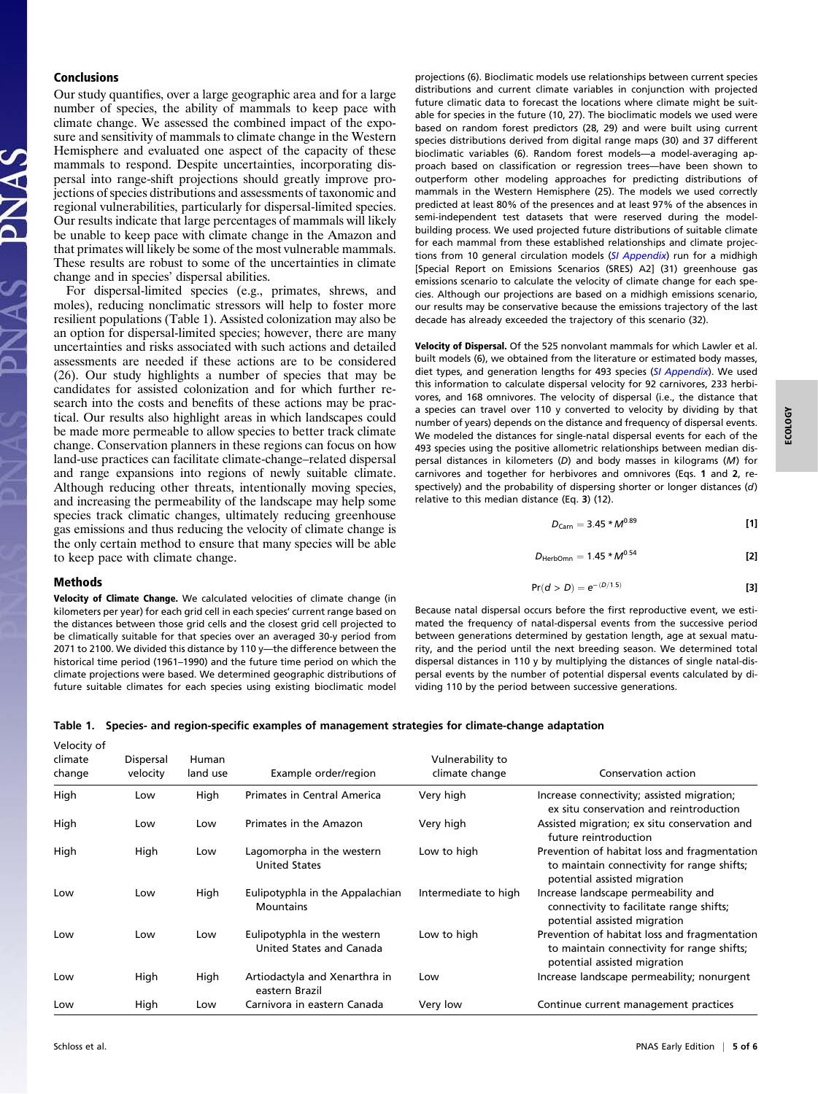# Conclusions

Our study quantifies, over a large geographic area and for a large number of species, the ability of mammals to keep pace with climate change. We assessed the combined impact of the exposure and sensitivity of mammals to climate change in the Western Hemisphere and evaluated one aspect of the capacity of these mammals to respond. Despite uncertainties, incorporating dispersal into range-shift projections should greatly improve projections of species distributions and assessments of taxonomic and regional vulnerabilities, particularly for dispersal-limited species. Our results indicate that large percentages of mammals will likely be unable to keep pace with climate change in the Amazon and that primates will likely be some of the most vulnerable mammals. These results are robust to some of the uncertainties in climate change and in species' dispersal abilities.

For dispersal-limited species (e.g., primates, shrews, and moles), reducing nonclimatic stressors will help to foster more resilient populations (Table 1). Assisted colonization may also be an option for dispersal-limited species; however, there are many uncertainties and risks associated with such actions and detailed assessments are needed if these actions are to be considered (26). Our study highlights a number of species that may be candidates for assisted colonization and for which further research into the costs and benefits of these actions may be practical. Our results also highlight areas in which landscapes could be made more permeable to allow species to better track climate change. Conservation planners in these regions can focus on how land-use practices can facilitate climate-change–related dispersal and range expansions into regions of newly suitable climate. Although reducing other threats, intentionally moving species, and increasing the permeability of the landscape may help some species track climatic changes, ultimately reducing greenhouse gas emissions and thus reducing the velocity of climate change is the only certain method to ensure that many species will be able to keep pace with climate change.

### Methods

Velocity of Climate Change. We calculated velocities of climate change (in kilometers per year) for each grid cell in each species' current range based on the distances between those grid cells and the closest grid cell projected to be climatically suitable for that species over an averaged 30-y period from 2071 to 2100. We divided this distance by 110 y—the difference between the historical time period (1961–1990) and the future time period on which the climate projections were based. We determined geographic distributions of future suitable climates for each species using existing bioclimatic model projections (6). Bioclimatic models use relationships between current species distributions and current climate variables in conjunction with projected future climatic data to forecast the locations where climate might be suitable for species in the future (10, 27). The bioclimatic models we used were based on random forest predictors (28, 29) and were built using current species distributions derived from digital range maps (30) and 37 different bioclimatic variables (6). Random forest models—a model-averaging approach based on classification or regression trees—have been shown to outperform other modeling approaches for predicting distributions of mammals in the Western Hemisphere (25). The models we used correctly predicted at least 80% of the presences and at least 97% of the absences in semi-independent test datasets that were reserved during the modelbuilding process. We used projected future distributions of suitable climate for each mammal from these established relationships and climate projec-tions from 10 general circulation models ([SI Appendix](http://www.pnas.org/lookup/suppl/doi:10.1073/pnas.1116791109/-/DCSupplemental/sapp.pdf)) run for a midhigh [Special Report on Emissions Scenarios (SRES) A2] (31) greenhouse gas emissions scenario to calculate the velocity of climate change for each species. Although our projections are based on a midhigh emissions scenario, our results may be conservative because the emissions trajectory of the last decade has already exceeded the trajectory of this scenario (32).

Velocity of Dispersal. Of the 525 nonvolant mammals for which Lawler et al. built models (6), we obtained from the literature or estimated body masses, diet types, and generation lengths for 493 species ([SI Appendix](http://www.pnas.org/lookup/suppl/doi:10.1073/pnas.1116791109/-/DCSupplemental/sapp.pdf)). We used this information to calculate dispersal velocity for 92 carnivores, 233 herbivores, and 168 omnivores. The velocity of dispersal (i.e., the distance that a species can travel over 110 y converted to velocity by dividing by that number of years) depends on the distance and frequency of dispersal events. We modeled the distances for single-natal dispersal events for each of the 493 species using the positive allometric relationships between median dispersal distances in kilometers (D) and body masses in kilograms (M) for carnivores and together for herbivores and omnivores (Eqs. 1 and 2, respectively) and the probability of dispersing shorter or longer distances (d) relative to this median distance (Eq. 3) (12).

$$
D_{\text{Carn}} = 3.45 * M^{0.89} \tag{1}
$$

$$
D_{\text{HerbOmn}} = 1.45 * M^{0.54}
$$
 [2]

$$
Pr(d > D) = e^{-(D/1.5)}
$$
 [3]

Because natal dispersal occurs before the first reproductive event, we estimated the frequency of natal-dispersal events from the successive period between generations determined by gestation length, age at sexual maturity, and the period until the next breeding season. We determined total dispersal distances in 110 y by multiplying the distances of single natal-dispersal events by the number of potential dispersal events calculated by dividing 110 by the period between successive generations.

|  |  | Table 1. Species- and region-specific examples of management strategies for climate-change adaptation |  |  |
|--|--|-------------------------------------------------------------------------------------------------------|--|--|
|  |  |                                                                                                       |  |  |

| Velocity of<br>climate<br>change | Dispersal<br>velocity | Human<br>land use | Example order/region                                    | Vulnerability to<br>climate change | Conservation action                                                                                                        |
|----------------------------------|-----------------------|-------------------|---------------------------------------------------------|------------------------------------|----------------------------------------------------------------------------------------------------------------------------|
| High                             | Low                   | High              | <b>Primates in Central America</b>                      | Very high                          | Increase connectivity; assisted migration;<br>ex situ conservation and reintroduction                                      |
| High                             | Low                   | Low               | Primates in the Amazon                                  | Very high                          | Assisted migration; ex situ conservation and<br>future reintroduction                                                      |
| High                             | High                  | Low               | Lagomorpha in the western<br><b>United States</b>       | Low to high                        | Prevention of habitat loss and fragmentation<br>to maintain connectivity for range shifts;<br>potential assisted migration |
| Low                              | Low                   | High              | Eulipotyphla in the Appalachian<br><b>Mountains</b>     | Intermediate to high               | Increase landscape permeability and<br>connectivity to facilitate range shifts;<br>potential assisted migration            |
| Low                              | Low                   | Low               | Eulipotyphla in the western<br>United States and Canada | Low to high                        | Prevention of habitat loss and fragmentation<br>to maintain connectivity for range shifts;<br>potential assisted migration |
| Low                              | High                  | High              | Artiodactyla and Xenarthra in<br>eastern Brazil         | Low                                | Increase landscape permeability; nonurgent                                                                                 |
| Low                              | High                  | Low               | Carnivora in eastern Canada                             | Very low                           | Continue current management practices                                                                                      |